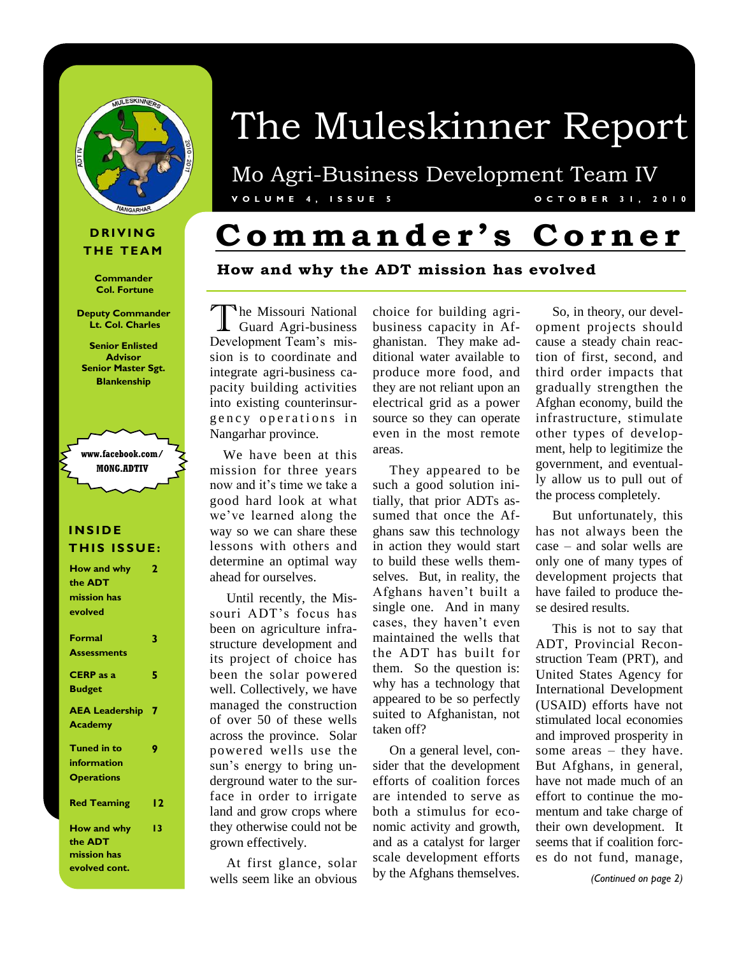

#### **D R I V I N G THE TEAM**

**Commander Col. Fortune**

**Deputy Commander Lt. Col. Charles**

**Senior Enlisted Advisor Senior Master Sgt. Blankenship** 



#### **I N S I D E THIS ISSUE:**

| How and why           | 2  |
|-----------------------|----|
| the <b>ADT</b>        |    |
| mission has           |    |
| evolved               |    |
| Formal                | 3  |
| <b>Assessments</b>    |    |
| <b>CERP</b> as a      | 5  |
| <b>Budget</b>         |    |
| <b>AEA Leadership</b> | 7  |
| Academy               |    |
| <b>Tuned in to</b>    | 9  |
| information           |    |
| <b>Operations</b>     |    |
| <b>Red Teaming</b>    | 12 |
| <b>How and why</b>    | 13 |
| the <b>ADT</b>        |    |
| mission has           |    |
| evolved cont.         |    |

# The Muleskinner Report

Mo Agri-Business Development Team IV **V O L U M E 4 , I S S U E 5 O C T O B E R 3 1 , 2 0 1 0**

# **C omm a n d e r ' s C o r n e r**

#### **How and why the ADT mission has evolved**

The Missouri National<br>Guard Agri-business he Missouri National Development Team's mission is to coordinate and integrate agri-business capacity building activities into existing counterinsurgency operations in Nangarhar province.

 We have been at this mission for three years now and it's time we take a good hard look at what we've learned along the way so we can share these lessons with others and determine an optimal way ahead for ourselves.

 Until recently, the Missouri ADT's focus has been on agriculture infrastructure development and its project of choice has been the solar powered well. Collectively, we have managed the construction of over 50 of these wells across the province. Solar powered wells use the sun's energy to bring underground water to the surface in order to irrigate land and grow crops where they otherwise could not be grown effectively.

 At first glance, solar wells seem like an obvious choice for building agribusiness capacity in Afghanistan. They make additional water available to produce more food, and they are not reliant upon an electrical grid as a power source so they can operate even in the most remote areas.

 They appeared to be such a good solution initially, that prior ADTs assumed that once the Afghans saw this technology in action they would start to build these wells themselves. But, in reality, the Afghans haven't built a single one. And in many cases, they haven't even maintained the wells that the ADT has built for them. So the question is: why has a technology that appeared to be so perfectly suited to Afghanistan, not taken off?

 On a general level, consider that the development efforts of coalition forces are intended to serve as both a stimulus for economic activity and growth, and as a catalyst for larger scale development efforts by the Afghans themselves.

 So, in theory, our development projects should cause a steady chain reaction of first, second, and third order impacts that gradually strengthen the Afghan economy, build the infrastructure, stimulate other types of development, help to legitimize the government, and eventually allow us to pull out of the process completely.

 But unfortunately, this has not always been the case – and solar wells are only one of many types of development projects that have failed to produce these desired results.

 This is not to say that ADT, Provincial Reconstruction Team (PRT), and United States Agency for International Development (USAID) efforts have not stimulated local economies and improved prosperity in some areas – they have. But Afghans, in general, have not made much of an effort to continue the momentum and take charge of their own development. It seems that if coalition forces do not fund, manage,

*(Continued on page 2)*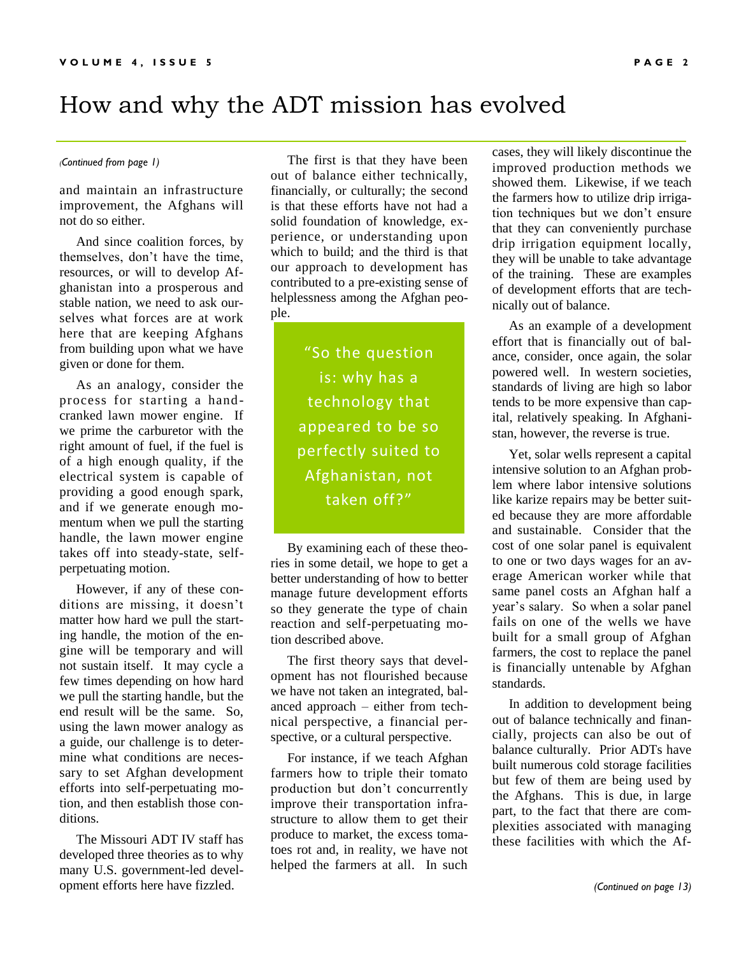### How and why the ADT mission has evolved

and maintain an infrastructure improvement, the Afghans will not do so either.

 And since coalition forces, by themselves, don't have the time, resources, or will to develop Afghanistan into a prosperous and stable nation, we need to ask ourselves what forces are at work here that are keeping Afghans from building upon what we have given or done for them.

 As an analogy, consider the process for starting a handcranked lawn mower engine. If we prime the carburetor with the right amount of fuel, if the fuel is of a high enough quality, if the electrical system is capable of providing a good enough spark, and if we generate enough momentum when we pull the starting handle, the lawn mower engine takes off into steady-state, selfperpetuating motion.

 However, if any of these conditions are missing, it doesn't matter how hard we pull the starting handle, the motion of the engine will be temporary and will not sustain itself. It may cycle a few times depending on how hard we pull the starting handle, but the end result will be the same. So, using the lawn mower analogy as a guide, our challenge is to determine what conditions are necessary to set Afghan development efforts into self-perpetuating motion, and then establish those conditions.

 The Missouri ADT IV staff has developed three theories as to why many U.S. government-led development efforts here have fizzled.

*(Continued from page 1)* The first is that they have been out of balance either technically, financially, or culturally; the second is that these efforts have not had a solid foundation of knowledge, experience, or understanding upon which to build; and the third is that our approach to development has contributed to a pre-existing sense of helplessness among the Afghan people.

> "So the question is: why has a technology that appeared to be so perfectly suited to Afghanistan, not taken off?"

 By examining each of these theories in some detail, we hope to get a better understanding of how to better manage future development efforts so they generate the type of chain reaction and self-perpetuating motion described above.

 The first theory says that development has not flourished because we have not taken an integrated, balanced approach – either from technical perspective, a financial perspective, or a cultural perspective.

 For instance, if we teach Afghan farmers how to triple their tomato production but don't concurrently improve their transportation infrastructure to allow them to get their produce to market, the excess tomatoes rot and, in reality, we have not helped the farmers at all. In such

cases, they will likely discontinue the improved production methods we showed them. Likewise, if we teach the farmers how to utilize drip irrigation techniques but we don't ensure that they can conveniently purchase drip irrigation equipment locally, they will be unable to take advantage of the training. These are examples of development efforts that are technically out of balance.

 As an example of a development effort that is financially out of balance, consider, once again, the solar powered well. In western societies, standards of living are high so labor tends to be more expensive than capital, relatively speaking. In Afghanistan, however, the reverse is true.

 Yet, solar wells represent a capital intensive solution to an Afghan problem where labor intensive solutions like karize repairs may be better suited because they are more affordable and sustainable. Consider that the cost of one solar panel is equivalent to one or two days wages for an average American worker while that same panel costs an Afghan half a year's salary. So when a solar panel fails on one of the wells we have built for a small group of Afghan farmers, the cost to replace the panel is financially untenable by Afghan standards.

 In addition to development being out of balance technically and financially, projects can also be out of balance culturally. Prior ADTs have built numerous cold storage facilities but few of them are being used by the Afghans. This is due, in large part, to the fact that there are complexities associated with managing these facilities with which the Af-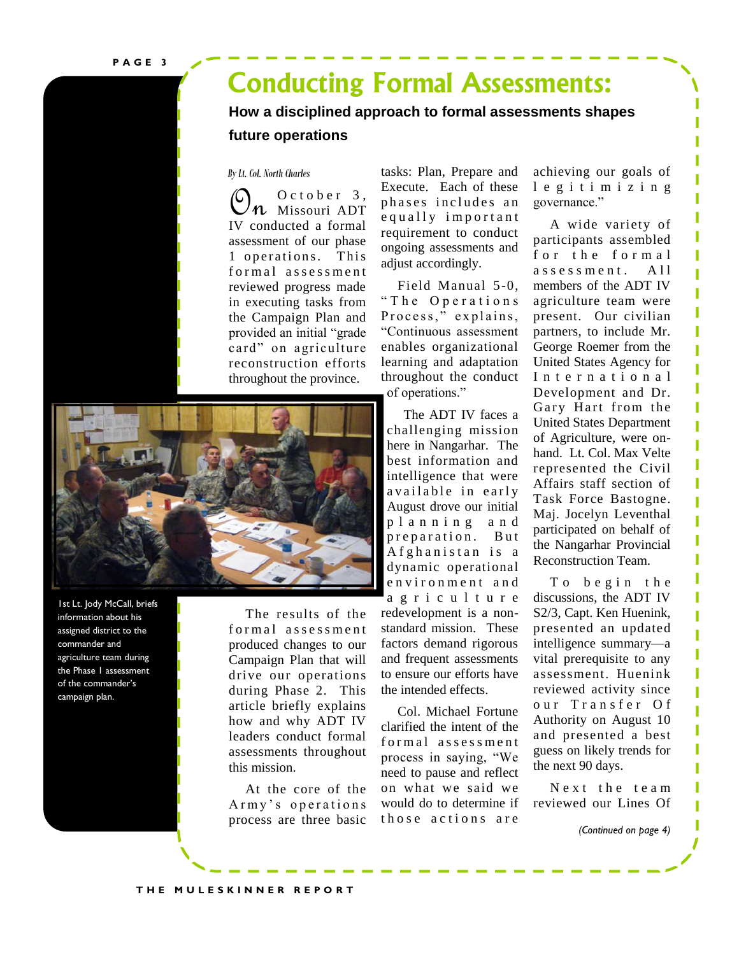## **Conducting Formal Assessments:**

**How a disciplined approach to formal assessments shapes future operations**

#### *By Lt. Col. North Charles*

 $\mathcal{O}_n$  O c t o b e r 3,<br>We conducted a formal IV conducted a formal assessment of our phase 1 operations. This formal assessment reviewed progress made in executing tasks from the Campaign Plan and provided an initial "grade card" on agriculture reconstruction efforts throughout the province.



1st Lt. Jody McCall, briefs information about his assigned district to the commander and agriculture team during the Phase 1 assessment of the commander's campaign plan.

 The results of the formal assessment produced changes to our Campaign Plan that will drive our operations during Phase 2. This article briefly explains how and why ADT IV leaders conduct formal assessments throughout this mission.

 At the core of the Army's operations process are three basic

tasks: Plan, Prepare and Execute. Each of these phases includes an e qually important requirement to conduct ongoing assessments and adjust accordingly.

 Field Manual 5-0, ― T h e O p e r a t i o n s Process," explains, ―Continuous assessment enables organizational learning and adaptation throughout the conduct of operations."

 The ADT IV faces a challenging mission here in Nangarhar. The best information and intelligence that were available in early August drove our initial p l a n n i n g a n d preparation. But A f g h a n i s t a n i s a dynamic operational e n v i r o n m e n t a n d a g r i c u l t u r e redevelopment is a nonstandard mission. These factors demand rigorous and frequent assessments to ensure our efforts have the intended effects.

 Col. Michael Fortune clarified the intent of the formal assessment process in saying, "We need to pause and reflect on what we said we would do to determine if those actions are

achieving our goals of l e g i t i m i z i n g governance."

 A wide variety of participants assembled for the formal assessment. All members of the ADT IV agriculture team were present. Our civilian partners, to include Mr. George Roemer from the United States Agency for International Development and Dr. Gary Hart from the United States Department of Agriculture, were onhand. Lt. Col. Max Velte represented the Civil Affairs staff section of Task Force Bastogne. Maj. Jocelyn Leventhal participated on behalf of the Nangarhar Provincial Reconstruction Team.

To begin the discussions, the ADT IV S2/3, Capt. Ken Huenink, presented an updated intelligence summary—a vital prerequisite to any assessment. Huenink reviewed activity since our Transfer Of Authority on August 10 and presented a best guess on likely trends for the next 90 days.

N e x t the team reviewed our Lines Of

*(Continued on page 4)*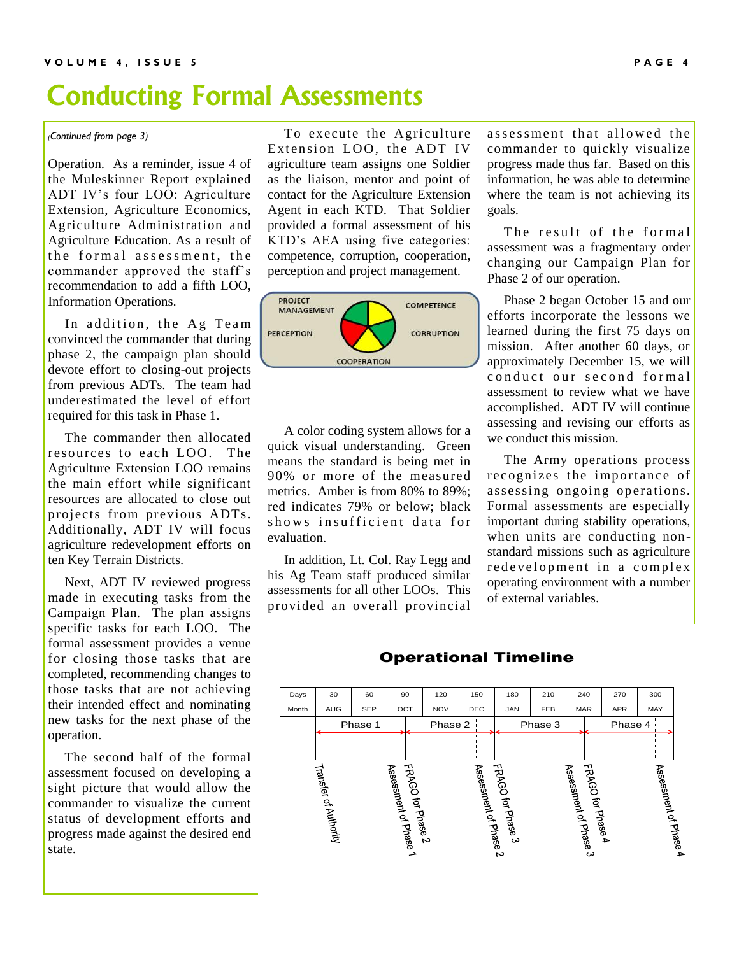# **Conducting Formal Assessments**

*(Continued from page 3)*

Operation. As a reminder, issue 4 of the Muleskinner Report explained ADT IV's four LOO: Agriculture Extension, Agriculture Economics, Agriculture Administration and Agriculture Education. As a result of the formal assessment, the commander approved the staff's recommendation to add a fifth LOO, Information Operations.

In addition, the Ag Team convinced the commander that during phase 2, the campaign plan should devote effort to closing-out projects from previous ADTs. The team had underestimated the level of effort required for this task in Phase 1.

 The commander then allocated resources to each LOO. The Agriculture Extension LOO remains the main effort while significant resources are allocated to close out projects from previous ADTs. Additionally, ADT IV will focus agriculture redevelopment efforts on ten Key Terrain Districts.

 Next, ADT IV reviewed progress made in executing tasks from the Campaign Plan. The plan assigns specific tasks for each LOO. The formal assessment provides a venue for closing those tasks that are completed, recommending changes to those tasks that are not achieving their intended effect and nominating new tasks for the next phase of the operation.

 The second half of the formal assessment focused on developing a sight picture that would allow the commander to visualize the current status of development efforts and progress made against the desired end state.

 To execute the Agriculture Extension LOO, the ADT IV agriculture team assigns one Soldier as the liaison, mentor and point of contact for the Agriculture Extension Agent in each KTD. That Soldier provided a formal assessment of his KTD's AEA using five categories: competence, corruption, cooperation, perception and project management.



 A color coding system allows for a quick visual understanding. Green means the standard is being met in 90% or more of the measured metrics. Amber is from 80% to 89%; red indicates 79% or below; black shows insufficient data for evaluation.

 In addition, Lt. Col. Ray Legg and his Ag Team staff produced similar assessments for all other LOOs. This provided an overall provincial assessment that allowed the commander to quickly visualize progress made thus far. Based on this information, he was able to determine where the team is not achieving its goals.

The result of the formal assessment was a fragmentary order changing our Campaign Plan for Phase 2 of our operation.

 Phase 2 began October 15 and our efforts incorporate the lessons we learned during the first 75 days on mission. After another 60 days, or approximately December 15, we will conduct our second formal assessment to review what we have accomplished. ADT IV will continue assessing and revising our efforts as we conduct this mission.

 The Army operations process recognizes the importance of assessing ongoing operations. Formal assessments are especially important during stability operations, when units are conducting nonstandard missions such as agriculture redevelopment in a complex operating environment with a number of external variables.

#### Operational Timeline

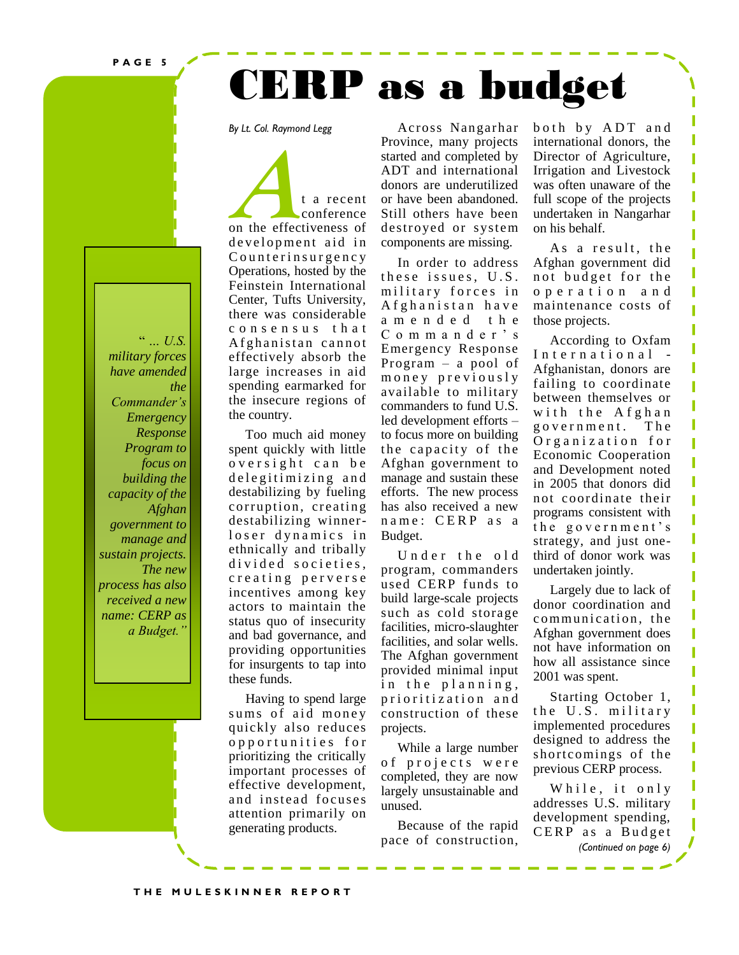**P A G E 5**

# CERP as a budget

*By Lt. Col. Raymond Legg* 

 $\degree$  ... U.S. *military forces have amended the Commander's Emergency Response Program to focus on building the capacity of the Afghan government to manage and sustain projects. The new process has also received a new name: CERP as a Budget."*

**A**t a recent conference conference on the effectiveness of development aid in C ounterin surgency Operations, hosted by the Feinstein International Center, Tufts University, there was considerable c o n s e n s u s t h a t A f g h a n i st a n c a n n o t effectively absorb the large increases in aid spending earmarked for the insecure regions of the country.

 Too much aid money spent quickly with little oversight can be de legitimizing and destabilizing by fueling corruption, creating destabilizing winnerloser dynamics in ethnically and tribally divided societies, creating perverse incentives among key actors to maintain the status quo of insecurity and bad governance, and providing opportunities for insurgents to tap into these funds.

 Having to spend large sums of aid money quickly also reduces o p p o r t u n i t i e s f o r prioritizing the critically important processes of effective development, and instead focuses attention primarily on generating products.

 Across Nangarhar Province, many projects started and completed by ADT and international donors are underutilized or have been abandoned. Still others have been destroyed or system components are missing.

 In order to address these issues, U.S. military forces in A f g h a n i s t a n h a v e a m e n d e d t h e C o m m a n d e r ' s Emergency Response Program – a pool of m oney previously available to military commanders to fund U.S. led development efforts – to focus more on building the capacity of the Afghan government to manage and sustain these efforts. The new process has also received a new name: CERP as a Budget.

Under the old program, commanders used CERP funds to build large-scale projects such as cold storage facilities, micro-slaughter facilities, and solar wells. The Afghan government provided minimal input in the planning, prioritization and construction of these projects.

 While a large number of projects were completed, they are now largely unsustainable and unused.

 Because of the rapid pace of construction, both by ADT and international donors, the Director of Agriculture, Irrigation and Livestock was often unaware of the full scope of the projects undertaken in Nangarhar on his behalf.

Π Π Π

Π

Π

ľ П Π

Π

П ľ

Π Π Π

J

As a result, the Afghan government did not budget for the o p e r a t i o n a n d maintenance costs of those projects.

 According to Oxfam International -Afghanistan, donors are failing to coordinate between themselves or with the Afghan g o v e r n m e n t . T h e O r g a n i z a t i o n f o r Economic Cooperation and Development noted in 2005 that donors did not coordinate their programs consistent with the government's strategy, and just onethird of donor work was undertaken jointly.

 Largely due to lack of donor coordination and communication, the Afghan government does not have information on how all assistance since 2001 was spent.

 Starting October 1, the U.S. military implemented procedures designed to address the shortcomings of the previous CERP process.

While, it only addresses U.S. military development spending, CERP as a Budget *(Continued on page 6)*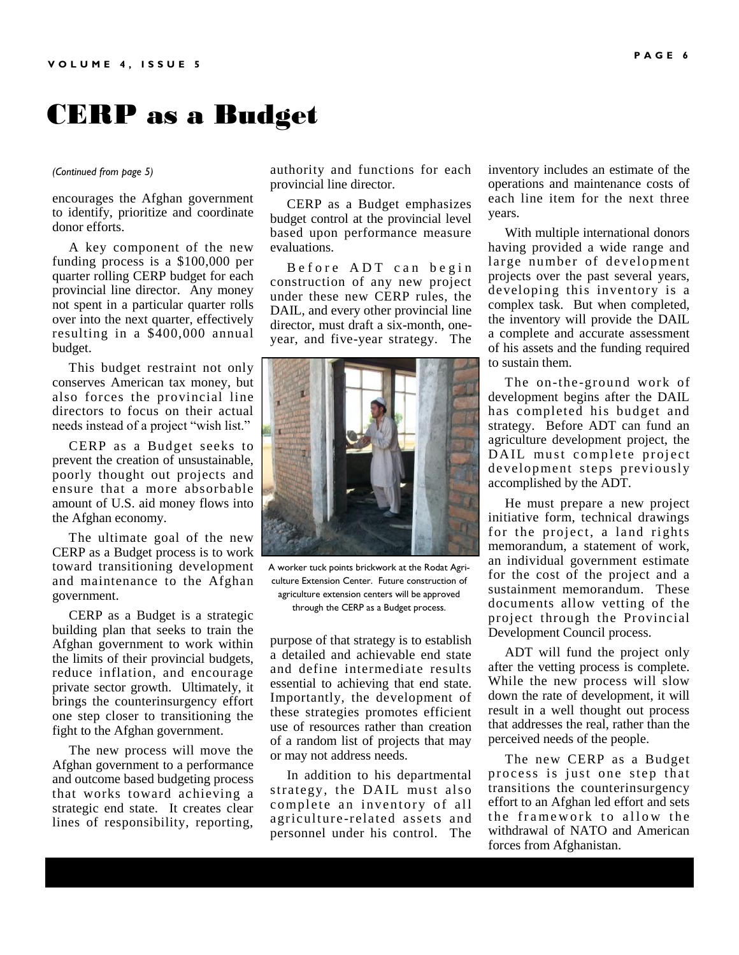## CERP as a Budget

#### *(Continued from page 5)*

encourages the Afghan government to identify, prioritize and coordinate donor efforts.

 A key component of the new funding process is a \$100,000 per quarter rolling CERP budget for each provincial line director. Any money not spent in a particular quarter rolls over into the next quarter, effectively resulting in a \$400,000 annual budget.

 This budget restraint not only conserves American tax money, but also forces the provincial line directors to focus on their actual needs instead of a project "wish list."

 CERP as a Budget seeks to prevent the creation of unsustainable, poorly thought out projects and ensure that a more absorbable amount of U.S. aid money flows into the Afghan economy.

 The ultimate goal of the new CERP as a Budget process is to work toward transitioning development and maintenance to the Afghan government.

 CERP as a Budget is a strategic building plan that seeks to train the Afghan government to work within the limits of their provincial budgets, reduce inflation, and encourage private sector growth. Ultimately, it brings the counterinsurgency effort one step closer to transitioning the fight to the Afghan government.

 The new process will move the Afghan government to a performance and outcome based budgeting process that works toward achieving a strategic end state. It creates clear lines of responsibility, reporting,

authority and functions for each provincial line director.

 CERP as a Budget emphasizes budget control at the provincial level based upon performance measure evaluations.

Before ADT can begin construction of any new project under these new CERP rules, the DAIL, and every other provincial line director, must draft a six-month, oneyear, and five-year strategy. The



A worker tuck points brickwork at the Rodat Agriculture Extension Center. Future construction of agriculture extension centers will be approved through the CERP as a Budget process.

purpose of that strategy is to establish a detailed and achievable end state and define intermediate results essential to achieving that end state. Importantly, the development of these strategies promotes efficient use of resources rather than creation of a random list of projects that may or may not address needs.

 In addition to his departmental strategy, the DAIL must also complete an inventory of all agriculture -related assets and personnel under his control. The inventory includes an estimate of the operations and maintenance costs of each line item for the next three years.

 With multiple international donors having provided a wide range and large number of development projects over the past several years, developing this inventory is a complex task. But when completed, the inventory will provide the DAIL a complete and accurate assessment of his assets and the funding required to sustain them.

The on-the-ground work of development begins after the DAIL has completed his budget and strategy. Before ADT can fund an agriculture development project, the DAIL must complete project development steps previously accomplished by the ADT.

 He must prepare a new project initiative form, technical drawings for the project, a land rights memorandum, a statement of work, an individual government estimate for the cost of the project and a sustainment memorandum. These documents allow vetting of the project through the Provincial Development Council process.

 ADT will fund the project only after the vetting process is complete. While the new process will slow down the rate of development, it will result in a well thought out process that addresses the real, rather than the perceived needs of the people.

 The new CERP as a Budget process is just one step that transitions the counterinsurgency effort to an Afghan led effort and sets the framework to allow the withdrawal of NATO and American forces from Afghanistan.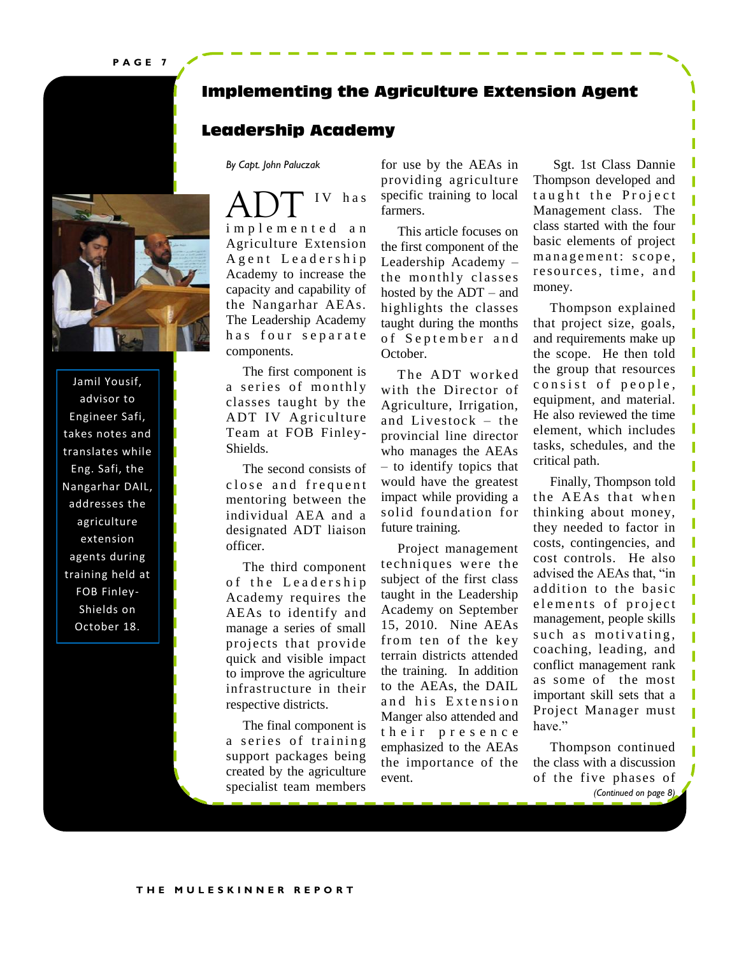**P A G E 7**



Jamil Yousif, advisor to Engineer Safi, takes notes and translates while Eng. Safi, the Nangarhar DAIL, addresses the agriculture extension agents during training held at FOB Finley-Shields on October 18.

#### **Implementing the Agriculture Extension Agent**

#### **Leadership Academy**

*By Capt. John Paluczak*

IV has i m p l e m e n t e d a n Agriculture Extension A g e n t L e a d e r s h i p Academy to increase the capacity and capability of the Nangarhar AEAs. The Leadership Academy has four separate components.

 The first component is a series of monthly classes taught by the ADT IV Agriculture Team at FOB Finley-Shields.

 The second consists of close and frequent mentoring between the individual AEA and a designated ADT liaison officer.

 The third component of the Leadership Academy requires the AEAs to identify and manage a series of small projects that provide quick and visible impact to improve the agriculture infrastructure in their respective districts.

 The final component is a series of training support packages being created by the agriculture specialist team members

for use by the AEAs in providing agriculture specific training to local farmers.

 This article focuses on the first component of the Leadership Academy – the monthly classes hosted by the ADT – and highlights the classes taught during the months of September and October.

The ADT worked with the Director of Agriculture, Irrigation, and Livestock – the provincial line director who manages the AEAs – to identify topics that would have the greatest impact while providing a solid foundation for future training.

 Project management techniques were the subject of the first class taught in the Leadership Academy on September 15, 2010. Nine AEAs from ten of the key terrain districts attended the training. In addition to the AEAs, the DAIL and his Extension Manger also attended and their presence emphasized to the AEAs the importance of the event.

 Sgt. 1st Class Dannie Thompson developed and taught the Project Management class. The class started with the four basic elements of project management: scope, resources, time, and money.

 Thompson explained that project size, goals, and requirements make up the scope. He then told the group that resources consist of people, equipment, and material. He also reviewed the time element, which includes tasks, schedules, and the critical path.

Π I

T

Π I П

П Π

Π

 Finally, Thompson told the AEAs that when thinking about money, they needed to factor in costs, contingencies, and cost controls. He also advised the AEAs that, "in addition to the basic elements of project management, people skills such as motivating, coaching, leading, and conflict management rank as some of the most important skill sets that a Project Manager must have."

 Thompson continued the class with a discussion of the five phases of *(Continued on page 8)*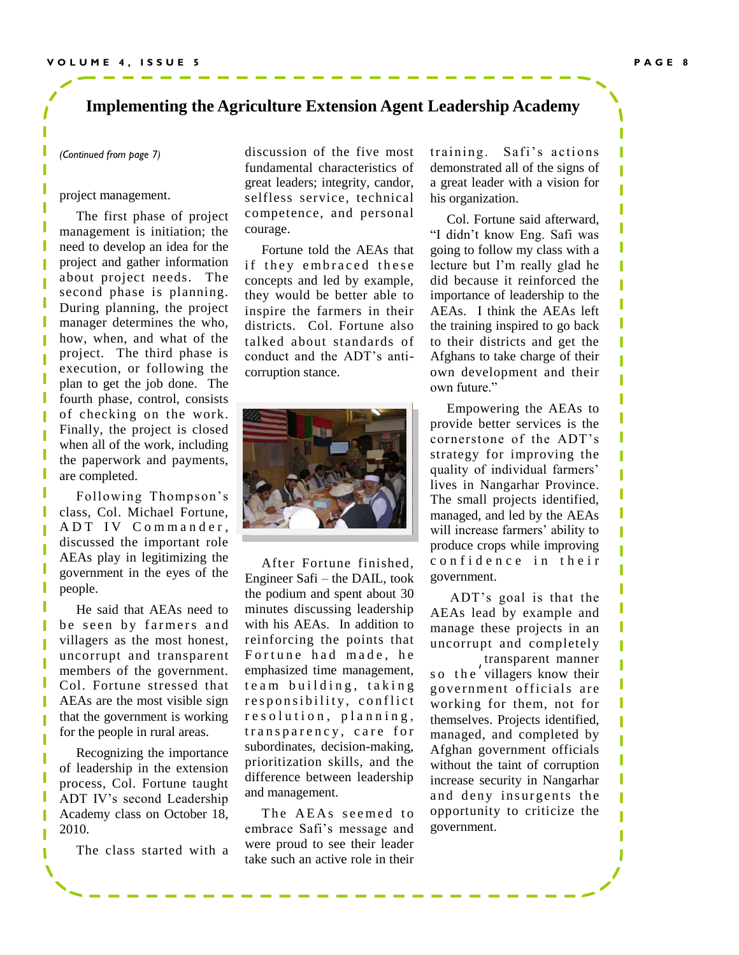#### **Implementing the Agriculture Extension Agent Leadership Academy**

*(Continued from page 7)*

#### project management.

I.

 The first phase of project management is initiation; the need to develop an idea for the project and gather information about project needs. The second phase is planning. During planning, the project manager determines the who, how, when, and what of the project. The third phase is execution, or following the plan to get the job done. The fourth phase, control, consists of checking on the work. Finally, the project is closed when all of the work, including the paperwork and payments, are completed.

 Following Thompson's class, Col. Michael Fortune, ADT IV Commander, discussed the important role AEAs play in legitimizing the government in the eyes of the people.

 He said that AEAs need to be seen by farmers and villagers as the most honest, uncorrupt and transparent members of the government. Col. Fortune stressed that AEAs are the most visible sign that the government is working for the people in rural areas.

 Recognizing the importance of leadership in the extension process, Col. Fortune taught ADT IV's second Leadership Academy class on October 18, 2010.

The class started with a

discussion of the five most fundamental characteristics of great leaders; integrity, candor, selfless service, technical competence, and personal courage.

 Fortune told the AEAs that if they embraced these concepts and led by example, they would be better able to inspire the farmers in their districts. Col. Fortune also talked about standards of conduct and the ADT's anticorruption stance.



 After Fortune finished, Engineer Safi – the DAIL, took the podium and spent about 30 minutes discussing leadership with his AEAs. In addition to reinforcing the points that Fortune had made, he emphasized time management, team building, taking responsibility, conflict resolution, planning, transparency, care for subordinates, decision-making, prioritization skills, and the difference between leadership and management.

The AEAs seemed to embrace Safi's message and were proud to see their leader take such an active role in their training. Safi's actions demonstrated all of the signs of a great leader with a vision for his organization.

 Col. Fortune said afterward, "I didn't know Eng. Safi was going to follow my class with a lecture but I'm really glad he did because it reinforced the importance of leadership to the AEAs. I think the AEAs left the training inspired to go back to their districts and get the Afghans to take charge of their own development and their own future."

 Empowering the AEAs to provide better services is the cornerstone of the ADT's strategy for improving the quality of individual farmers' lives in Nangarhar Province. The small projects identified, managed, and led by the AEAs will increase farmers' ability to produce crops while improving confidence in their government.

 ADT's goal is that the AEAs lead by example and manage these projects in an uncorrupt and completely

transparent manner so the villagers know their government officials are working for them, not for themselves. Projects identified, managed, and completed by Afghan government officials without the taint of corruption increase security in Nangarhar and deny insurgents the opportunity to criticize the government.

Π

ı

ı ı

ı ı

> ı ı

I

ı T Ï

ı ı T

ı ī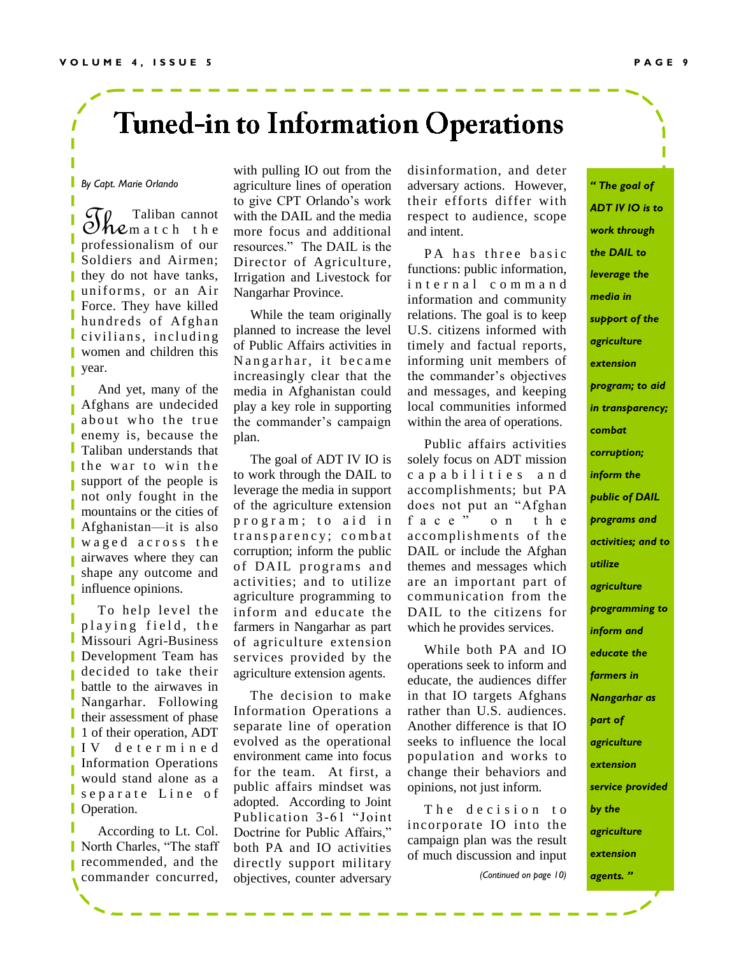# **Tuned-in to Information Operations**

*By Capt. Marie Orlando*

 $\mathcal{F}_{\text{hem at c h. the  
fracicnelism of our$ professionalism of our Soldiers and Airmen; they do not have tanks, uniforms, or an Air Force. They have killed hundreds of Afghan L civilians, including **Women** and children this year. T

 And yet, many of the Afghans are undecided about who the true enemy is, because the Taliban understands that I the war to win the support of the people is not only fought in the mountains or the cities of Afghanistan—it is also waged across the airwaves where they can shape any outcome and influence opinions.

To help level the playing field, the Missouri Agri-Business Development Team has decided to take their battle to the airwaves in Nangarhar. Following their assessment of phase 1 of their operation, ADT I V d e t e r m i n e d Information Operations would stand alone as a separate Line of **Operation.** 

 According to Lt. Col. North Charles, "The staff recommended, and the commander concurred,

with pulling IO out from the agriculture lines of operation to give CPT Orlando's work with the DAIL and the media more focus and additional resources.‖ The DAIL is the Director of Agriculture, Irrigation and Livestock for Nangarhar Province.

 While the team originally planned to increase the level of Public Affairs activities in Nangarhar, it became increasingly clear that the media in Afghanistan could play a key role in supporting the commander's campaign plan.

 The goal of ADT IV IO is to work through the DAIL to leverage the media in support of the agriculture extension program; to aid in transparency; combat corruption; inform the public of DAIL programs and activities; and to utilize agriculture programming to inform and educate the farmers in Nangarhar as part of agriculture extension services provided by the agriculture extension agents.

 The decision to make Information Operations a separate line of operation evolved as the operational environment came into focus for the team. At first, a public affairs mindset was adopted. According to Joint Publication 3-61 "Joint Doctrine for Public Affairs." both PA and IO activities directly support military objectives, counter adversary

disinformation, and deter adversary actions. However, their efforts differ with respect to audience, scope and intent.

PA has three basic functions: public information, i n t e r n a l c o m m a n d information and community relations. The goal is to keep U.S. citizens informed with timely and factual reports, informing unit members of the commander's objectives and messages, and keeping local communities informed within the area of operations.

 Public affairs activities solely focus on ADT mission c a p a b i l i t i e s a n d accomplishments; but PA does not put an "Afghan face" on the accomplishments of the DAIL or include the Afghan themes and messages which are an important part of communication from the DAIL to the citizens for which he provides services.

 While both PA and IO operations seek to inform and educate, the audiences differ in that IO targets Afghans rather than U.S. audiences. Another difference is that IO seeks to influence the local population and works to change their behaviors and opinions, not just inform.

The decision to incorporate IO into the campaign plan was the result of much discussion and input

*(Continued on page 10)*

*" The goal of ADT IV IO is to work through the DAIL to leverage the media in support of the agriculture extension program; to aid in transparency; combat corruption; inform the public of DAIL programs and activities; and to utilize agriculture programming to inform and educate the farmers in Nangarhar as part of agriculture extension service provided by the agriculture extension agents. "*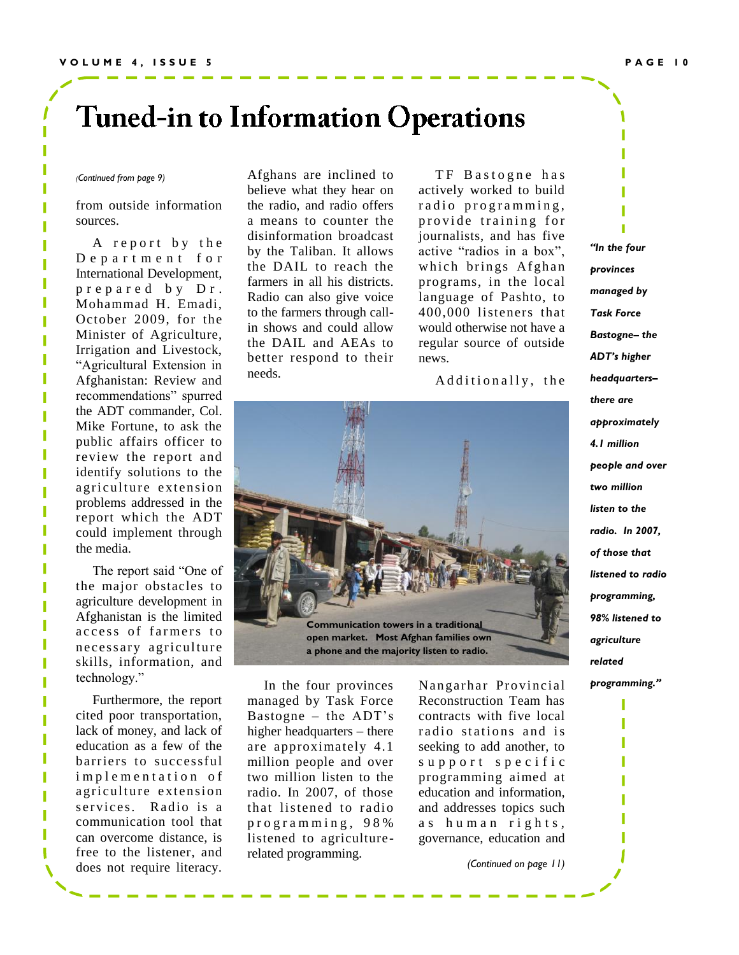# **Tuned-in to Information Operations**

#### *(Continued from page 9)*

from outside information sources.

A report by the D e p a r t m e n t f o r International Development, p r e p a r e d b y D r . Mohammad H. Emadi, October 2009, for the Minister of Agriculture, Irrigation and Livestock, ―Agricultural Extension in Afghanistan: Review and recommendations" spurred the ADT commander, Col. Mike Fortune, to ask the public affairs officer to review the report and identify solutions to the agriculture extension problems addressed in the report which the ADT could implement through the media.

The report said "One of the major obstacles to agriculture development in Afghanistan is the limited access of farmers to necessary agriculture skills, information, and technology."

 Furthermore, the report cited poor transportation, lack of money, and lack of education as a few of the barriers to successful implementation of agriculture extension services. Radio is a communication tool that can overcome distance, is free to the listener, and does not require literacy.

Afghans are inclined to believe what they hear on the radio, and radio offers a means to counter the disinformation broadcast by the Taliban. It allows the DAIL to reach the farmers in all his districts. Radio can also give voice to the farmers through callin shows and could allow the DAIL and AEAs to better respond to their needs.

TF Bastogne has actively worked to build radio programming, provide training for journalists, and has five active "radios in a box", which brings Afghan programs, in the local language of Pashto, to 400,000 listeners that would otherwise not have a regular source of outside news.

Additionally, the



 In the four provinces managed by Task Force Bastogne – the ADT's higher headquarters – there are approximately 4.1 million people and over two million listen to the radio. In 2007, of those that listened to radio p r o g r a m m i n g , 9 8 % listened to agriculturerelated programming.

Nangarhar Provincial Reconstruction Team has contracts with five local radio stations and is seeking to add another, to support specific programming aimed at education and information, and addresses topics such as human rights, governance, education and

*(Continued on page 11)*

*"In the four provinces managed by Task Force Bastogne– the ADT's higher headquarters– there are approximately 4.1 million people and over two million listen to the radio. In 2007, of those that listened to radio programming, 98% listened to agriculture related programming."* I

I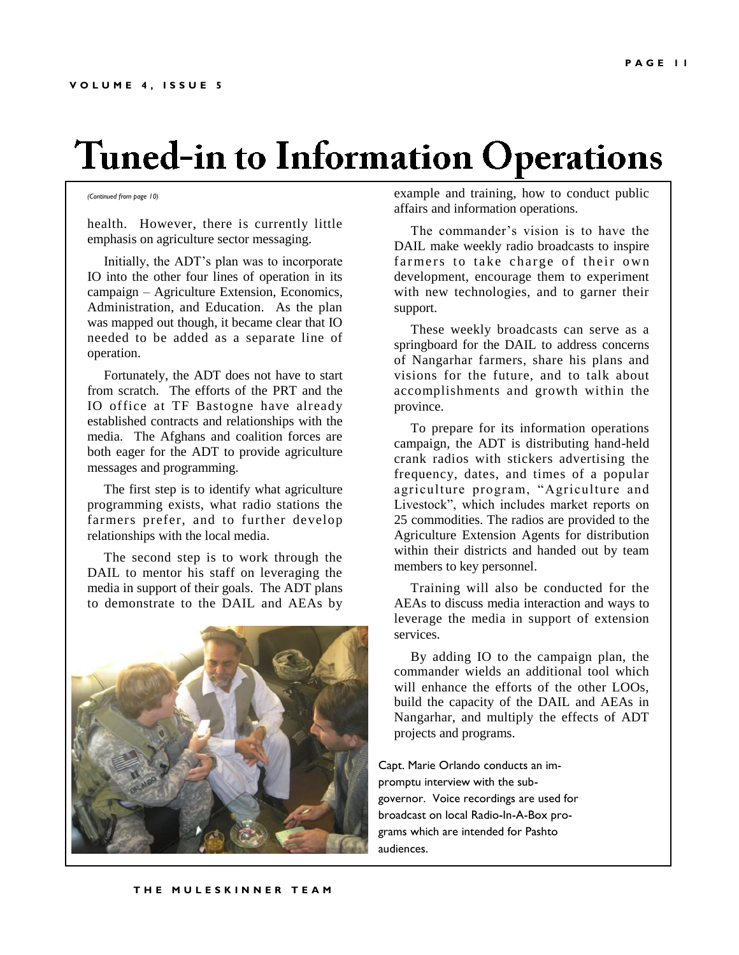# **Tuned-in to Information Operations**

#### *(Continued from page 10)*

health. However, there is currently little emphasis on agriculture sector messaging.

 Initially, the ADT's plan was to incorporate IO into the other four lines of operation in its campaign – Agriculture Extension, Economics, Administration, and Education. As the plan was mapped out though, it became clear that IO needed to be added as a separate line of operation.

 Fortunately, the ADT does not have to start from scratch. The efforts of the PRT and the IO office at TF Bastogne have already established contracts and relationships with the media. The Afghans and coalition forces are both eager for the ADT to provide agriculture messages and programming.

 The first step is to identify what agriculture programming exists, what radio stations the farmers prefer, and to further develop relationships with the local media.

 The second step is to work through the DAIL to mentor his staff on leveraging the media in support of their goals. The ADT plans to demonstrate to the DAIL and AEAs by



example and training, how to conduct public affairs and information operations.

 The commander's vision is to have the DAIL make weekly radio broadcasts to inspire farmers to take charge of their own development, encourage them to experiment with new technologies, and to garner their support.

 These weekly broadcasts can serve as a springboard for the DAIL to address concerns of Nangarhar farmers, share his plans and visions for the future, and to talk about accomplishments and growth within the province.

 To prepare for its information operations campaign, the ADT is distributing hand-held crank radios with stickers advertising the frequency, dates, and times of a popular agriculture program, "Agriculture and Livestock", which includes market reports on 25 commodities. The radios are provided to the Agriculture Extension Agents for distribution within their districts and handed out by team members to key personnel.

 Training will also be conducted for the AEAs to discuss media interaction and ways to leverage the media in support of extension services.

 By adding IO to the campaign plan, the commander wields an additional tool which will enhance the efforts of the other LOOs, build the capacity of the DAIL and AEAs in Nangarhar, and multiply the effects of ADT projects and programs.

Capt. Marie Orlando conducts an impromptu interview with the subgovernor. Voice recordings are used for broadcast on local Radio-In-A-Box programs which are intended for Pashto audiences.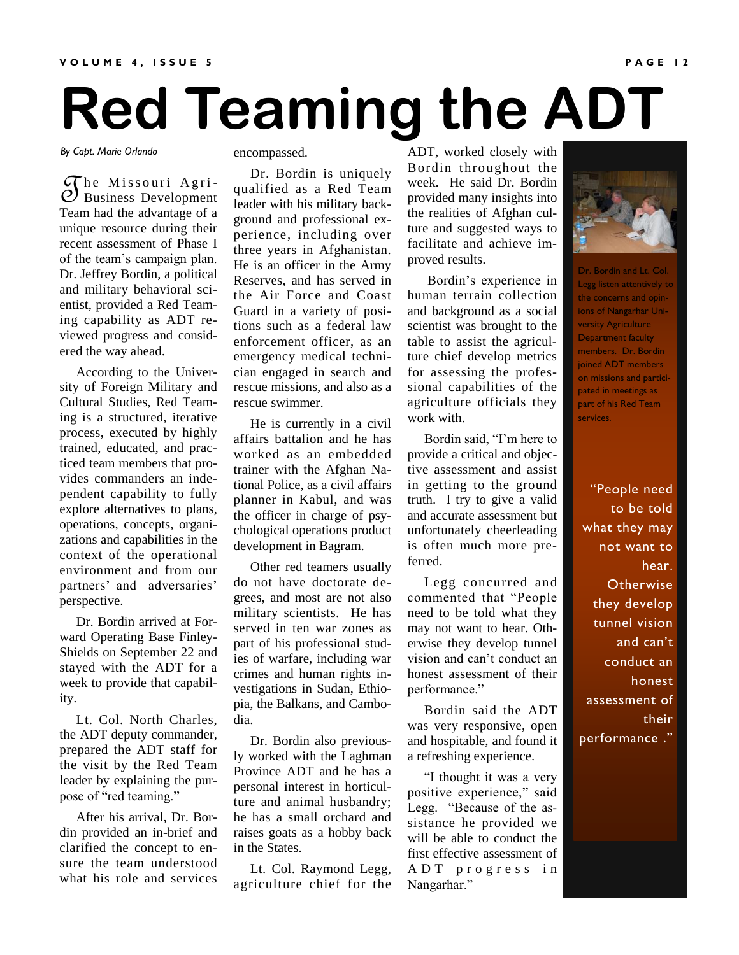# **Red Teaming the ADT**

*By Capt. Marie Orlando*

The Missouri Agri-<br>
D Business Development<br>
Teem hed the educators of a  $\widetilde{\mathcal{C}}$ he Missouri Agri-Team had the advantage of a unique resource during their recent assessment of Phase I of the team's campaign plan. Dr. Jeffrey Bordin, a political and military behavioral scientist, provided a Red Teaming capability as ADT reviewed progress and considered the way ahead.

 According to the University of Foreign Military and Cultural Studies, Red Teaming is a structured, iterative process, executed by highly trained, educated, and practiced team members that provides commanders an independent capability to fully explore alternatives to plans, operations, concepts, organizations and capabilities in the context of the operational environment and from our partners' and adversaries' perspective.

 Dr. Bordin arrived at Forward Operating Base Finley-Shields on September 22 and stayed with the ADT for a week to provide that capability.

 Lt. Col. North Charles, the ADT deputy commander, prepared the ADT staff for the visit by the Red Team leader by explaining the purpose of "red teaming."

 After his arrival, Dr. Bordin provided an in-brief and clarified the concept to ensure the team understood what his role and services encompassed.

 Dr. Bordin is uniquely qualified as a Red Team leader with his military background and professional experience, including over three years in Afghanistan. He is an officer in the Army Reserves, and has served in the Air Force and Coast Guard in a variety of positions such as a federal law enforcement officer, as an emergency medical technician engaged in search and rescue missions, and also as a rescue swimmer.

 He is currently in a civil affairs battalion and he has worked as an embedded trainer with the Afghan National Police, as a civil affairs planner in Kabul, and was the officer in charge of psychological operations product development in Bagram.

 Other red teamers usually do not have doctorate degrees, and most are not also military scientists. He has served in ten war zones as part of his professional studies of warfare, including war crimes and human rights investigations in Sudan, Ethiopia, the Balkans, and Cambodia.

 Dr. Bordin also previously worked with the Laghman Province ADT and he has a personal interest in horticulture and animal husbandry; he has a small orchard and raises goats as a hobby back in the States.

 Lt. Col. Raymond Legg, agriculture chief for the

ADT, worked closely with Bordin throughout the week. He said Dr. Bordin provided many insights into the realities of Afghan culture and suggested ways to facilitate and achieve improved results.

 Bordin's experience in human terrain collection and background as a social scientist was brought to the table to assist the agriculture chief develop metrics for assessing the professional capabilities of the agriculture officials they work with.

Bordin said, "I'm here to provide a critical and objective assessment and assist in getting to the ground truth. I try to give a valid and accurate assessment but unfortunately cheerleading is often much more preferred.

 Legg concurred and commented that "People need to be told what they may not want to hear. Otherwise they develop tunnel vision and can't conduct an honest assessment of their performance."

 Bordin said the ADT was very responsive, open and hospitable, and found it a refreshing experience.

"I thought it was a very positive experience," said Legg. "Because of the assistance he provided we will be able to conduct the first effective assessment of A D T p r o g r e s s i n Nangarhar."



Dr. Bordin and Lt. Col. Legg listen attentively to the concerns and opinions of Nangarhar University Agriculture Department faculty members. Dr. Bordin joined ADT members on missions and participated in meetings as part of his Red Team services.

"People need to be told what they may not want to hear. **Otherwise** they develop tunnel vision and can't conduct an honest assessment of their performance ."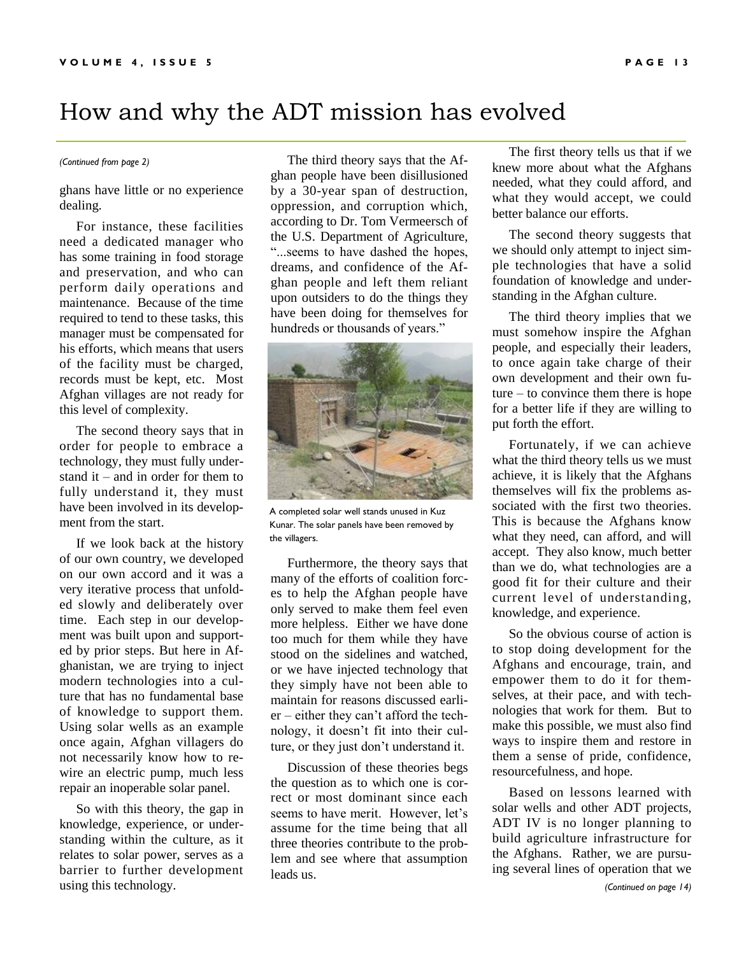## How and why the ADT mission has evolved

ghans have little or no experience dealing.

 For instance, these facilities need a dedicated manager who has some training in food storage and preservation, and who can perform daily operations and maintenance. Because of the time required to tend to these tasks, this manager must be compensated for his efforts, which means that users of the facility must be charged, records must be kept, etc. Most Afghan villages are not ready for this level of complexity.

 The second theory says that in order for people to embrace a technology, they must fully understand it – and in order for them to fully understand it, they must have been involved in its development from the start.

 If we look back at the history of our own country, we developed on our own accord and it was a very iterative process that unfolded slowly and deliberately over time. Each step in our development was built upon and supported by prior steps. But here in Afghanistan, we are trying to inject modern technologies into a culture that has no fundamental base of knowledge to support them. Using solar wells as an example once again, Afghan villagers do not necessarily know how to rewire an electric pump, much less repair an inoperable solar panel.

 So with this theory, the gap in knowledge, experience, or understanding within the culture, as it relates to solar power, serves as a barrier to further development using this technology.

*(Continued from page 2)* The third theory says that the Afghan people have been disillusioned by a 30-year span of destruction, oppression, and corruption which, according to Dr. Tom Vermeersch of the U.S. Department of Agriculture, ―...seems to have dashed the hopes, dreams, and confidence of the Afghan people and left them reliant upon outsiders to do the things they have been doing for themselves for hundreds or thousands of years."



A completed solar well stands unused in Kuz Kunar. The solar panels have been removed by the villagers.

 Furthermore, the theory says that many of the efforts of coalition forces to help the Afghan people have only served to make them feel even more helpless. Either we have done too much for them while they have stood on the sidelines and watched, or we have injected technology that they simply have not been able to maintain for reasons discussed earlier – either they can't afford the technology, it doesn't fit into their culture, or they just don't understand it.

 Discussion of these theories begs the question as to which one is correct or most dominant since each seems to have merit. However, let's assume for the time being that all three theories contribute to the problem and see where that assumption leads us.

 The first theory tells us that if we knew more about what the Afghans needed, what they could afford, and what they would accept, we could better balance our efforts.

 The second theory suggests that we should only attempt to inject simple technologies that have a solid foundation of knowledge and understanding in the Afghan culture.

 The third theory implies that we must somehow inspire the Afghan people, and especially their leaders, to once again take charge of their own development and their own future – to convince them there is hope for a better life if they are willing to put forth the effort.

 Fortunately, if we can achieve what the third theory tells us we must achieve, it is likely that the Afghans themselves will fix the problems associated with the first two theories. This is because the Afghans know what they need, can afford, and will accept. They also know, much better than we do, what technologies are a good fit for their culture and their current level of understanding, knowledge, and experience.

 So the obvious course of action is to stop doing development for the Afghans and encourage, train, and empower them to do it for themselves, at their pace, and with technologies that work for them. But to make this possible, we must also find ways to inspire them and restore in them a sense of pride, confidence, resourcefulness, and hope.

 Based on lessons learned with solar wells and other ADT projects, ADT IV is no longer planning to build agriculture infrastructure for the Afghans. Rather, we are pursuing several lines of operation that we